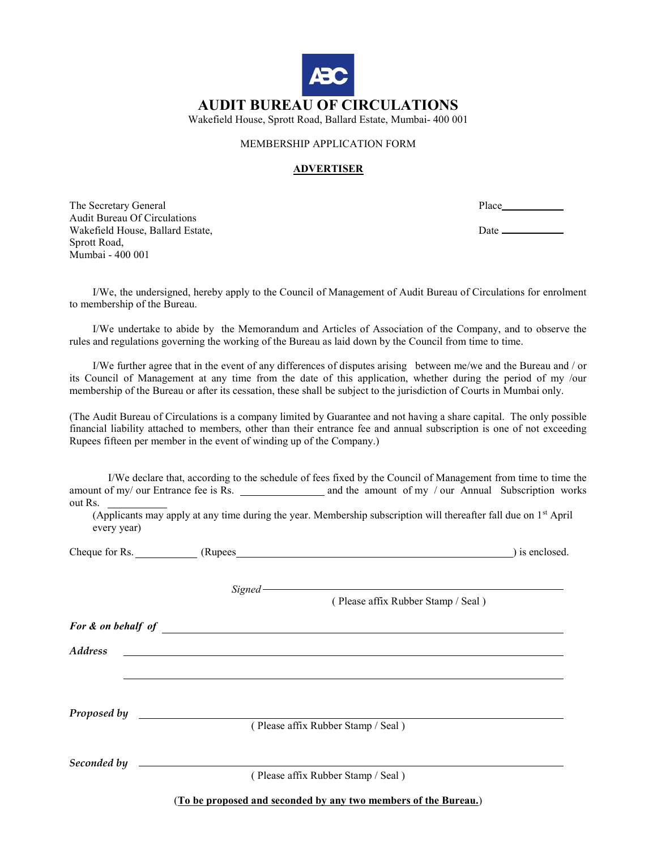

### MEMBERSHIP APPLICATION FORM

#### ADVERTISER

The Secretary General Place Place Place Place Place Place Place Place Place Place Place Place Place Place Place Place Place Place Place Place Place Place Place Place Place Place Place Place Place Place Place Place Place Pl Audit Bureau Of Circulations Wakefield House, Ballard Estate,  $\qquad \qquad$  Date \_\_\_\_\_\_\_\_\_\_\_\_\_\_\_\_\_\_\_\_\_\_\_\_\_\_\_\_\_\_\_\_\_\_ Sprott Road, Mumbai - 400 001

 I/We, the undersigned, hereby apply to the Council of Management of Audit Bureau of Circulations for enrolment to membership of the Bureau.

 I/We undertake to abide by the Memorandum and Articles of Association of the Company, and to observe the rules and regulations governing the working of the Bureau as laid down by the Council from time to time.

 I/We further agree that in the event of any differences of disputes arising between me/we and the Bureau and / or its Council of Management at any time from the date of this application, whether during the period of my /our membership of the Bureau or after its cessation, these shall be subject to the jurisdiction of Courts in Mumbai only.

(The Audit Bureau of Circulations is a company limited by Guarantee and not having a share capital. The only possible financial liability attached to members, other than their entrance fee and annual subscription is one of not exceeding Rupees fifteen per member in the event of winding up of the Company.)

 I/We declare that, according to the schedule of fees fixed by the Council of Management from time to time the amount of my/ our Entrance fee is Rs. and the amount of my / our Annual Subscription works out Rs.

(Applicants may apply at any time during the year. Membership subscription will thereafter fall due on 1st April every year)

Cheque for Rs. (Rupees (Rupees ) is enclosed.

Signed-

( Please affix Rubber Stamp / Seal )

For & on behalf of the state of the state of the state of the state of the state of the state of the state of the state of the state of the state of the state of the state of the state of the state of the state of the stat

Address

Proposed by **Figure 2018** 

( Please affix Rubber Stamp / Seal )

Seconded by  $\qquad$ 

( Please affix Rubber Stamp / Seal )

(To be proposed and seconded by any two members of the Bureau.)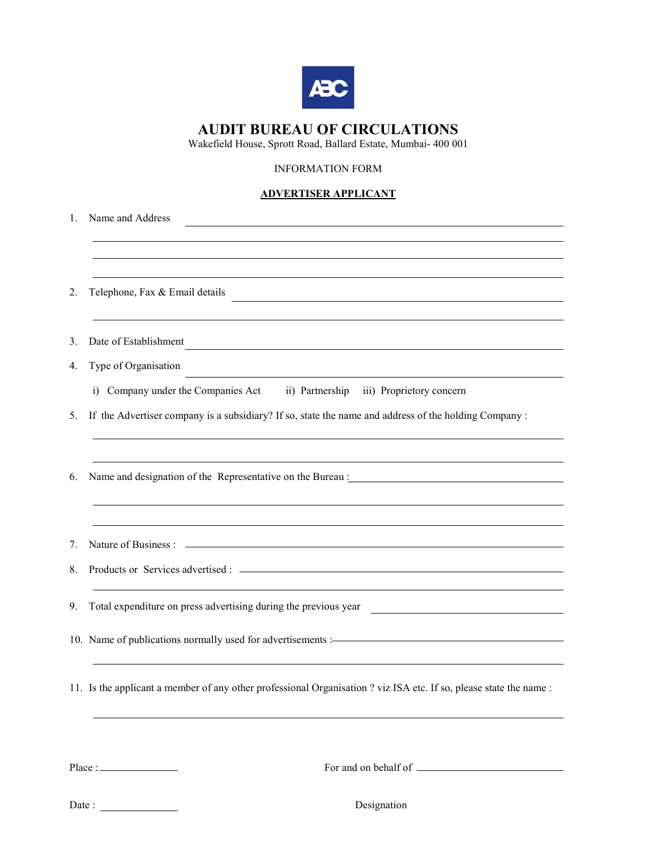

# AUDIT BUREAU OF CIRCULATIONS

Wakefield House, Sprott Road, Ballard Estate, Mumbai- 400 001

## INFORMATION FORM

### ADVERTISER APPLICANT

| 1. | Name and Address                                                                                                                   |
|----|------------------------------------------------------------------------------------------------------------------------------------|
|    |                                                                                                                                    |
|    |                                                                                                                                    |
| 2. | Telephone, Fax & Email details                                                                                                     |
| 3. | Date of Establishment                                                                                                              |
| 4. | Type of Organisation<br><u> 1980 - Johann Barn, amerikansk politiker (d. 1980)</u>                                                 |
|    | i) Company under the Companies Act ii) Partnership iii) Proprietory concern                                                        |
| 5. | If the Advertiser company is a subsidiary? If so, state the name and address of the holding Company :                              |
|    |                                                                                                                                    |
| 6. | Name and designation of the Representative on the Bureau :                                                                         |
|    |                                                                                                                                    |
|    |                                                                                                                                    |
| 7. |                                                                                                                                    |
| 8. |                                                                                                                                    |
|    |                                                                                                                                    |
| 9. |                                                                                                                                    |
|    | 10. Name of publications normally used for advertisements :- The manufactured and publications normally used for advertisements :- |
|    |                                                                                                                                    |
|    | 11. Is the applicant a member of any other professional Organisation ? viz ISA etc. If so, please state the name :                 |
|    |                                                                                                                                    |

Place : For and on behalf of

Date : Designation